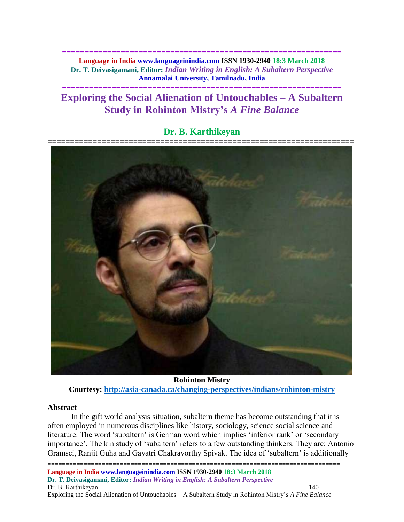**============================================================== Language in India www.languageinindia.com ISSN 1930-2940 18:3 March 2018 Dr. T. Deivasigamani, Editor:** *Indian Writing in English: A Subaltern Perspective* **Annamalai University, Tamilnadu, India**

# **Exploring the Social Alienation of Untouchables – A Subaltern Study in Rohinton Mistry's** *A Fine Balance*

**==============================================================**

# **Dr. B. Karthikeyan**



**Rohinton Mistry Courtesy:<http://asia-canada.ca/changing-perspectives/indians/rohinton-mistry>**

#### **Abstract**

In the gift world analysis situation, subaltern theme has become outstanding that it is often employed in numerous disciplines like history, sociology, science social science and literature. The word 'subaltern' is German word which implies 'inferior rank' or 'secondary importance'. The kin study of 'subaltern' refers to a few outstanding thinkers. They are: Antonio Gramsci, Ranjit Guha and Gayatri Chakravorthy Spivak. The idea of 'subaltern' is additionally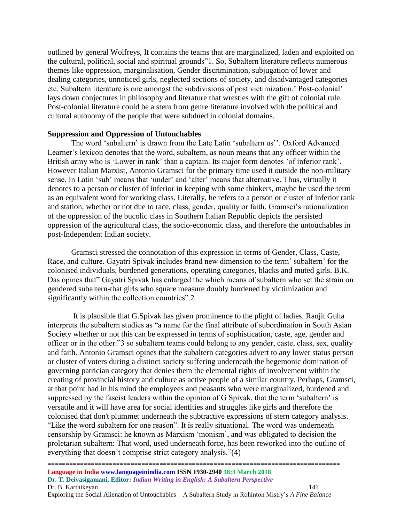outlined by general Wolfreys, It contains the teams that are marginalized, laden and exploited on the cultural, political, social and spiritual grounds"1. So, Subaltern literature reflects numerous themes like oppression, marginalisation, Gender discrimination, subjugation of lower and dealing categories, unnoticed girls, neglected sections of society, and disadvantaged categories etc. Subaltern literature is one amongst the subdivisions of post victimization.' Post-colonial' lays down conjectures in philosophy and literature that wrestles with the gift of colonial rule. Post-colonial literature could be a stem from genre literature involved with the political and cultural autonomy of the people that were subdued in colonial domains.

#### **Suppression and Oppression of Untouchables**

The word 'subaltern' is drawn from the Late Latin 'subaltern us''. Oxford Advanced Learner's lexicon denotes that the word, subaltern, as noun means that any officer within the British army who is 'Lower in rank' than a captain. Its major form denotes 'of inferior rank'. However Italian Marxist, Antonio Gramsci for the primary time used it outside the non-military sense. In Latin 'sub' means that 'under' and 'alter' means that alternative. Thus, virtually it denotes to a person or cluster of inferior in keeping with some thinkers, maybe he used the term as an equivalent word for working class. Literally, he refers to a person or cluster of inferior rank and station, whether or not due to race, class, gender, quality or faith. Gramsci's rationalization of the oppression of the bucolic class in Southern Italian Republic depicts the persisted oppression of the agricultural class, the socio-economic class, and therefore the untouchables in post-Independent Indian society.

Gramsci stressed the connotation of this expression in terms of Gender, Class, Caste, Race, and culture. Gayatri Spivak includes brand new dimension to the term' subaltern' for the colonised individuals, burdened generations, operating categories, blacks and muted girls. B.K. Das opines that" Gayatri Spivak has enlarged the which means of subaltern who set the strain on gendered subaltern-that girls who square measure doubly burdened by victimization and significantly within the collection countries".2

It is plausible that G.Spivak has given prominence to the plight of ladies. Ranjit Guha interprets the subaltern studies as "a name for the final attribute of subordination in South Asian Society whether or not this can be expressed in terms of sophistication, caste, age, gender and officer or in the other."3 so subaltern teams could belong to any gender, caste, class, sex, quality and faith. Antonio Gramsci opines that the subaltern categories advert to any lower status person or cluster of voters during a distinct society suffering underneath the hegemonic domination of governing patrician category that denies them the elemental rights of involvement within the creating of provincial history and culture as active people of a similar country. Perhaps, Gramsci, at that point had in his mind the employees and peasants who were marginalized, burdened and suppressed by the fascist leaders within the opinion of G Spivak, that the term 'subaltern' is versatile and it will have area for social identities and struggles like girls and therefore the colonised that don't plummet underneath the subtractive expressions of stern category analysis. "Like the word subaltern for one reason". It is really situational. The word was underneath censorship by Gramsci: he known as Marxism 'monism', and was obligated to decision the proletarian subaltern: That word, used underneath force, has been reworked into the outline of everything that doesn't comprise strict category analysis."(4)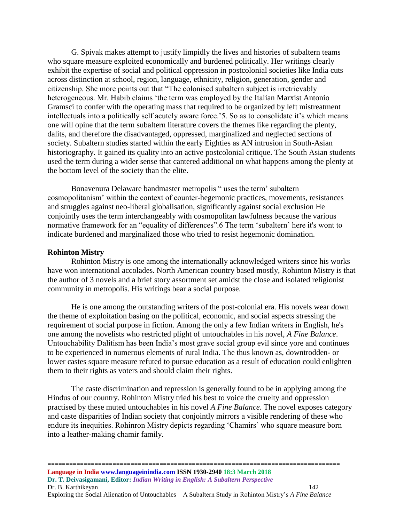G. Spivak makes attempt to justify limpidly the lives and histories of subaltern teams who square measure exploited economically and burdened politically. Her writings clearly exhibit the expertise of social and political oppression in postcolonial societies like India cuts across distinction at school, region, language, ethnicity, religion, generation, gender and citizenship. She more points out that "The colonised subaltern subject is irretrievably heterogeneous. Mr. Habib claims 'the term was employed by the Italian Marxist Antonio Gramsci to confer with the operating mass that required to be organized by left mistreatment intellectuals into a politically self acutely aware force.'5. So as to consolidate it's which means one will opine that the term subaltern literature covers the themes like regarding the plenty, dalits, and therefore the disadvantaged, oppressed, marginalized and neglected sections of society. Subaltern studies started within the early Eighties as AN intrusion in South-Asian historiography. It gained its quality into an active postcolonial critique. The South Asian students used the term during a wider sense that cantered additional on what happens among the plenty at the bottom level of the society than the elite.

Bonavenura Delaware bandmaster metropolis " uses the term' subaltern cosmopolitanism' within the context of counter-hegemonic practices, movements, resistances and struggles against neo-liberal globalisation, significantly against social exclusion He conjointly uses the term interchangeably with cosmopolitan lawfulness because the various normative framework for an "equality of differences".6 The term 'subaltern' here it's wont to indicate burdened and marginalized those who tried to resist hegemonic domination.

#### **Rohinton Mistry**

Rohinton Mistry is one among the internationally acknowledged writers since his works have won international accolades. North American country based mostly, Rohinton Mistry is that the author of 3 novels and a brief story assortment set amidst the close and isolated religionist community in metropolis. His writings bear a social purpose.

He is one among the outstanding writers of the post-colonial era. His novels wear down the theme of exploitation basing on the political, economic, and social aspects stressing the requirement of social purpose in fiction. Among the only a few Indian writers in English, he's one among the novelists who restricted plight of untouchables in his novel, *A Fine Balance*. Untouchability Dalitism has been India's most grave social group evil since yore and continues to be experienced in numerous elements of rural India. The thus known as, downtrodden- or lower castes square measure refuted to pursue education as a result of education could enlighten them to their rights as voters and should claim their rights.

The caste discrimination and repression is generally found to be in applying among the Hindus of our country. Rohinton Mistry tried his best to voice the cruelty and oppression practised by these muted untouchables in his novel *A Fine Balance*. The novel exposes category and caste disparities of Indian society that conjointly mirrors a visible rendering of these who endure its inequities. Rohinron Mistry depicts regarding 'Chamirs' who square measure born into a leather-making chamir family.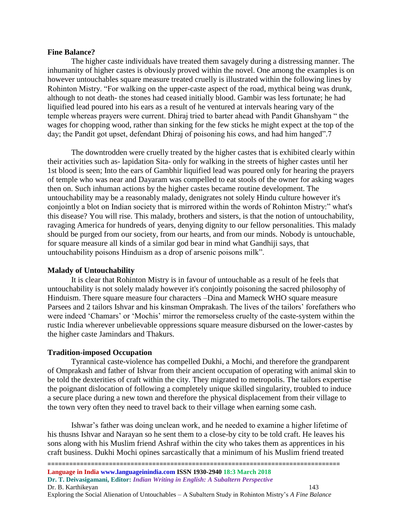#### **Fine Balance?**

The higher caste individuals have treated them savagely during a distressing manner. The inhumanity of higher castes is obviously proved within the novel. One among the examples is on however untouchables square measure treated cruelly is illustrated within the following lines by Rohinton Mistry. "For walking on the upper-caste aspect of the road, mythical being was drunk, although to not death- the stones had ceased initially blood. Gambir was less fortunate; he had liquified lead poured into his ears as a result of he ventured at intervals hearing vary of the temple whereas prayers were current. Dhiraj tried to barter ahead with Pandit Ghanshyam " the wages for chopping wood, rather than sinking for the few sticks he might expect at the top of the day; the Pandit got upset, defendant Dhiraj of poisoning his cows, and had him hanged".7

The downtrodden were cruelly treated by the higher castes that is exhibited clearly within their activities such as- lapidation Sita- only for walking in the streets of higher castes until her 1st blood is seen; Into the ears of Gambhir liquified lead was poured only for hearing the prayers of temple who was near and Dayaram was compelled to eat stools of the owner for asking wages then on. Such inhuman actions by the higher castes became routine development. The untouchability may be a reasonably malady, denigrates not solely Hindu culture however it's conjointly a blot on Indian society that is mirrored within the words of Rohinton Mistry:" what's this disease? You will rise. This malady, brothers and sisters, is that the notion of untouchability, ravaging America for hundreds of years, denying dignity to our fellow personalities. This malady should be purged from our society, from our hearts, and from our minds. Nobody is untouchable, for square measure all kinds of a similar god bear in mind what Gandhiji says, that untouchability poisons Hinduism as a drop of arsenic poisons milk".

#### **Malady of Untouchability**

It is clear that Rohinton Mistry is in favour of untouchable as a result of he feels that untouchability is not solely malady however it's conjointly poisoning the sacred philosophy of Hinduism. There square measure four characters –Dina and Mameck WHO square measure Parsees and 2 tailors Ishvar and his kinsman Omprakash. The lives of the tailors' forefathers who were indeed 'Chamars' or 'Mochis' mirror the remorseless cruelty of the caste-system within the rustic India wherever unbelievable oppressions square measure disbursed on the lower-castes by the higher caste Jamindars and Thakurs.

#### **Tradition-imposed Occupation**

Tyrannical caste-violence has compelled Dukhi, a Mochi, and therefore the grandparent of Omprakash and father of Ishvar from their ancient occupation of operating with animal skin to be told the dexterities of craft within the city. They migrated to metropolis. The tailors expertise the poignant dislocation of following a completely unique skilled singularity, troubled to induce a secure place during a new town and therefore the physical displacement from their village to the town very often they need to travel back to their village when earning some cash.

Ishwar's father was doing unclean work, and he needed to examine a higher lifetime of his thusns Ishvar and Narayan so he sent them to a close-by city to be told craft. He leaves his sons along with his Muslim friend Ashraf within the city who takes them as apprentices in his craft business. Dukhi Mochi opines sarcastically that a minimum of his Muslim friend treated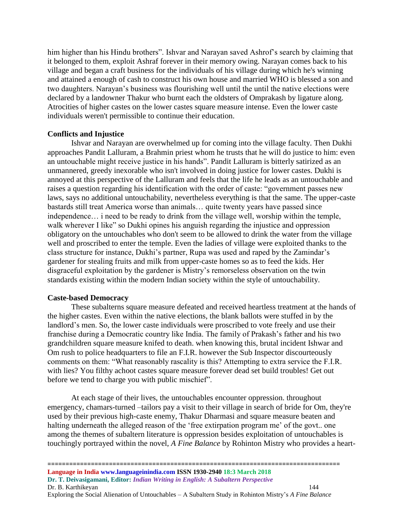him higher than his Hindu brothers". Ishvar and Narayan saved Ashrof's search by claiming that it belonged to them, exploit Ashraf forever in their memory owing. Narayan comes back to his village and began a craft business for the individuals of his village during which he's winning and attained a enough of cash to construct his own house and married WHO is blessed a son and two daughters. Narayan's business was flourishing well until the until the native elections were declared by a landowner Thakur who burnt each the oldsters of Omprakash by ligature along. Atrocities of higher castes on the lower castes square measure intense. Even the lower caste individuals weren't permissible to continue their education.

### **Conflicts and Injustice**

Ishvar and Narayan are overwhelmed up for coming into the village faculty. Then Dukhi approaches Pandit Lalluram, a Brahmin priest whom he trusts that he will do justice to him: even an untouchable might receive justice in his hands". Pandit Lalluram is bitterly satirized as an unmannered, greedy inexorable who isn't involved in doing justice for lower castes. Dukhi is annoyed at this perspective of the Lalluram and feels that the life he leads as an untouchable and raises a question regarding his identification with the order of caste: "government passes new laws, says no additional untouchability, nevertheless everything is that the same. The upper-caste bastards still treat America worse than animals… quite twenty years have passed since independence… i need to be ready to drink from the village well, worship within the temple, walk wherever I like" so Dukhi opines his anguish regarding the injustice and oppression obligatory on the untouchables who don't seem to be allowed to drink the water from the village well and proscribed to enter the temple. Even the ladies of village were exploited thanks to the class structure for instance, Dukhi's partner, Rupa was used and raped by the Zamindar's gardener for stealing fruits and milk from upper-caste homes so as to feed the kids. Her disgraceful exploitation by the gardener is Mistry's remorseless observation on the twin standards existing within the modern Indian society within the style of untouchability.

#### **Caste-based Democracy**

These subalterns square measure defeated and received heartless treatment at the hands of the higher castes. Even within the native elections, the blank ballots were stuffed in by the landlord's men. So, the lower caste individuals were proscribed to vote freely and use their franchise during a Democratic country like India. The family of Prakash's father and his two grandchildren square measure knifed to death. when knowing this, brutal incident Ishwar and Om rush to police headquarters to file an F.I.R. however the Sub Inspector discourteously comments on them: "What reasonably rascality is this? Attempting to extra service the F.I.R. with lies? You filthy achoot castes square measure forever dead set build troubles! Get out before we tend to charge you with public mischief".

At each stage of their lives, the untouchables encounter oppression. throughout emergency, chamars-turned –tailors pay a visit to their village in search of bride for Om, they're used by their previous high-caste enemy, Thakur Dharmasi and square measure beaten and halting underneath the alleged reason of the 'free extirpation program me' of the govt.. one among the themes of subaltern literature is oppression besides exploitation of untouchables is touchingly portrayed within the novel, *A Fine Balance* by Rohinton Mistry who provides a heart